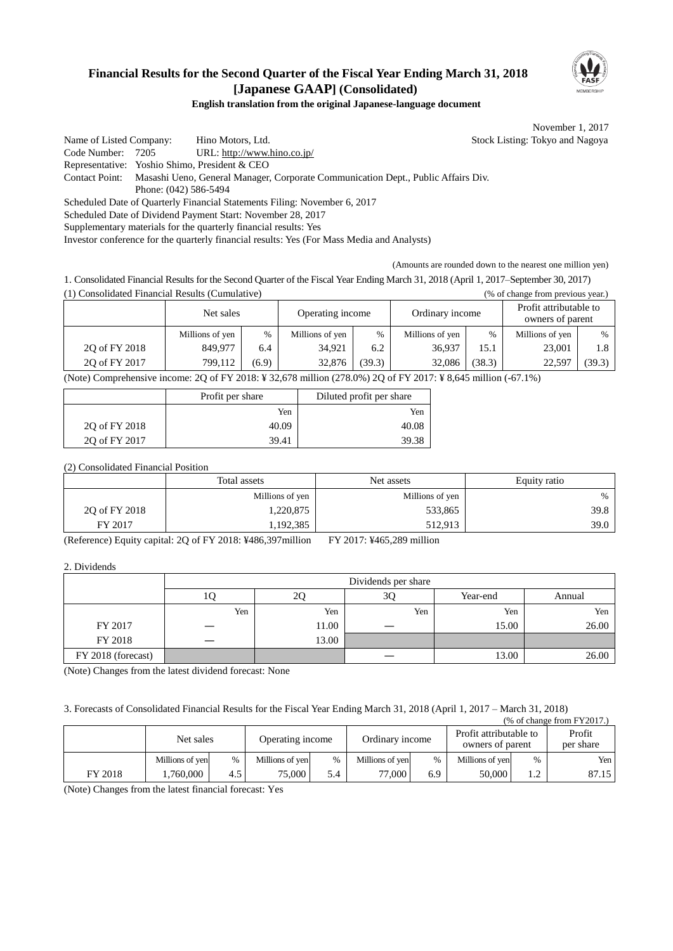## **Financial Results for the Second Quarter of the Fiscal Year Ending March 31, 2018 [Japanese GAAP] (Consolidated)**



#### **English translation from the original Japanese-language document**

November 1, 2017

Name of Listed Company: Hino Motors, Ltd. Stock Listing: Tokyo and Nagoya Code Number: 7205 URL: http://www.hino.co.jp/ Representative: Yoshio Shimo, President & CEO Contact Point: Masashi Ueno, General Manager, Corporate Communication Dept., Public Affairs Div. Phone: (042) 586-5494 Scheduled Date of Quarterly Financial Statements Filing: November 6, 2017 Scheduled Date of Dividend Payment Start: November 28, 2017 Supplementary materials for the quarterly financial results: Yes

Investor conference for the quarterly financial results: Yes (For Mass Media and Analysts)

(Amounts are rounded down to the nearest one million yen)

1. Consolidated Financial Results for the Second Quarter of the Fiscal Year Ending March 31, 2018 (April 1, 2017–September 30, 2017) (1) Consolidated Financial Results (Cumulative) (% of change from previous year.)

|                                                                                                                | Net sales       |       | Operating income |        | Ordinary income |        | Profit attributable to<br>owners of parent |        |
|----------------------------------------------------------------------------------------------------------------|-----------------|-------|------------------|--------|-----------------|--------|--------------------------------------------|--------|
|                                                                                                                | Millions of yen | $\%$  | Millions of yen  | $\%$   | Millions of yen | $\%$   | Millions of yen                            | $\%$   |
| 20 of FY 2018                                                                                                  | 849,977         | 6.4   | 34,921           | 6.2    | 36.937          | 15.1   | 23,001                                     | 1.8    |
| 20 of FY 2017                                                                                                  | 799.112         | (6.9) | 32,876           | (39.3) | 32.086          | (38.3) | 22.597                                     | (39.3) |
| <br>$\mathbf{A}$<br>20.55372010372270<br>$\cdots$<br>$(270.00)$ $20$ $(1737.2017, 370.617)$<br>$\sqrt{2}$ 10/1 |                 |       |                  |        |                 |        |                                            |        |

(Note) Comprehensive income: 2Q of FY 2018: ¥ 32,678 million (278.0%) 2Q of FY 2017: ¥ 8,645 million (-67.1%)

|               | Profit per share | Diluted profit per share |  |
|---------------|------------------|--------------------------|--|
|               | Yen              | Yen                      |  |
| 20 of FY 2018 | 40.09            | 40.08                    |  |
| 20 of FY 2017 | 39.41            | 39.38                    |  |

(2) Consolidated Financial Position

|               | Total assets    | Net assets      | Equity ratio |  |
|---------------|-----------------|-----------------|--------------|--|
|               | Millions of yen | Millions of yen | $\%$         |  |
| 2Q of FY 2018 | ,220,875        | 533,865         | 39.8         |  |
| FY 2017       | .192,385        | 512,913         | 39.0         |  |

(Reference) Equity capital: 2Q of FY 2018: ¥486,397million FY 2017: ¥465,289 million

2. Dividends

|                    | Dividends per share |       |     |          |        |  |
|--------------------|---------------------|-------|-----|----------|--------|--|
|                    | ΙU                  | 2Q    | 3Q  | Year-end | Annual |  |
|                    | Yen                 | Yen   | Yen | Yen      | Yen    |  |
| FY 2017            |                     | 11.00 |     | 15.00    | 26.00  |  |
| FY 2018            |                     | 13.00 |     |          |        |  |
| FY 2018 (forecast) |                     |       |     | 13.00    | 26.00  |  |

(Note) Changes from the latest dividend forecast: None

3. Forecasts of Consolidated Financial Results for the Fiscal Year Ending March 31, 2018 (April 1, 2017 – March 31, 2018)

| $%$ of change from FY2017.) |                 |      |                  |      |                 |     |                                            |            |                     |
|-----------------------------|-----------------|------|------------------|------|-----------------|-----|--------------------------------------------|------------|---------------------|
|                             | Net sales       |      | Operating income |      | Ordinary income |     | Profit attributable to<br>owners of parent |            | Profit<br>per share |
|                             | Millions of yen | $\%$ | Millions of yen  | $\%$ | Millions of yen | %   | Millions of yen                            | $\%$       | Yen                 |
| FY 2018                     | 1.760.000       | 4.5  | $75,000$ i       | 5.4  | 77.000          | 6.9 | 50,000                                     | $\sqrt{2}$ | 87.15               |

(Note) Changes from the latest financial forecast: Yes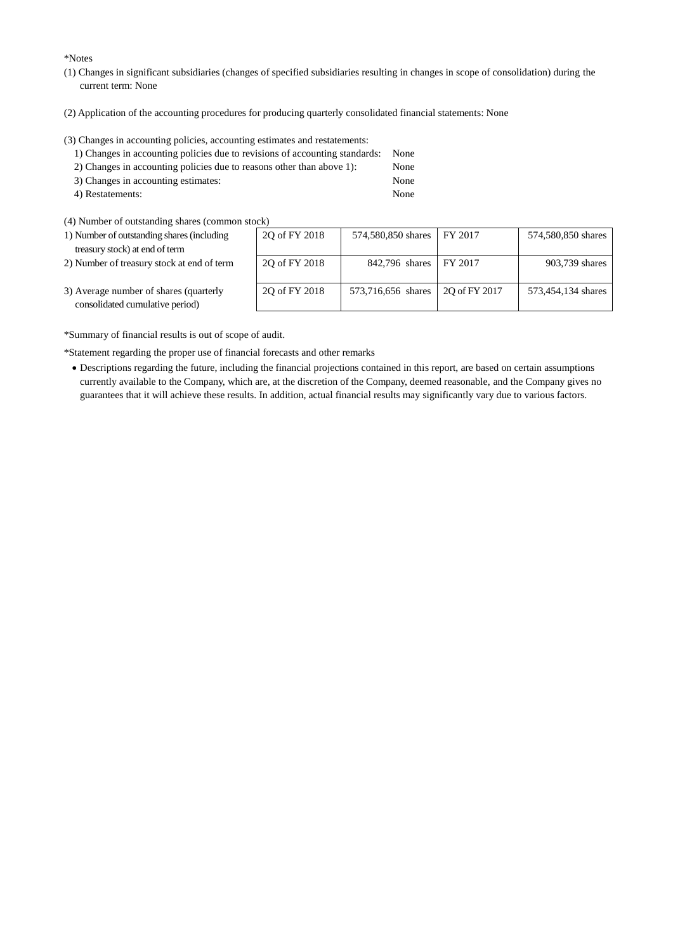\*Notes

- (1) Changes in significant subsidiaries (changes of specified subsidiaries resulting in changes in scope of consolidation) during the current term: None
- (2) Application of the accounting procedures for producing quarterly consolidated financial statements: None

(3) Changes in accounting policies, accounting estimates and restatements:

| 1) Changes in accounting policies due to revisions of accounting standards: None |      |
|----------------------------------------------------------------------------------|------|
| 2) Changes in accounting policies due to reasons other than above 1):            | None |
| 3) Changes in accounting estimates:                                              | None |

- 4) Restatements: None
- (4) Number of outstanding shares (common stock)
- 1) Number of outstanding shares (including treasury stock) at end of term
- 2) Number of treasury stock at end of term

| OCK)          |                    |               |                    |
|---------------|--------------------|---------------|--------------------|
| 2Q of FY 2018 | 574,580,850 shares | FY 2017       | 574,580,850 shares |
| 2Q of FY 2018 | 842,796 shares     | FY 2017       | 903,739 shares     |
| 2Q of FY 2018 | 573,716,656 shares | 2Q of FY 2017 | 573,454,134 shares |

3) Average number of shares (quarterly consolidated cumulative period)

\*Summary of financial results is out of scope of audit.

\*Statement regarding the proper use of financial forecasts and other remarks

 Descriptions regarding the future, including the financial projections contained in this report, are based on certain assumptions currently available to the Company, which are, at the discretion of the Company, deemed reasonable, and the Company gives no guarantees that it will achieve these results. In addition, actual financial results may significantly vary due to various factors.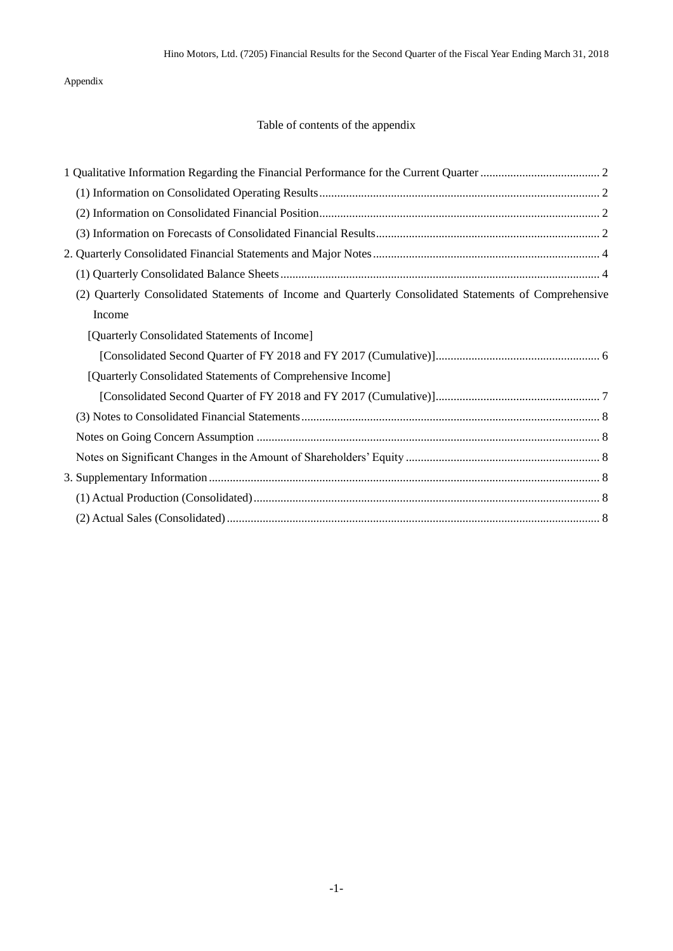Appendix

## Table of contents of the appendix

| (2) Quarterly Consolidated Statements of Income and Quarterly Consolidated Statements of Comprehensive |
|--------------------------------------------------------------------------------------------------------|
| Income                                                                                                 |
| [Quarterly Consolidated Statements of Income]                                                          |
|                                                                                                        |
| [Quarterly Consolidated Statements of Comprehensive Income]                                            |
|                                                                                                        |
|                                                                                                        |
|                                                                                                        |
|                                                                                                        |
|                                                                                                        |
|                                                                                                        |
|                                                                                                        |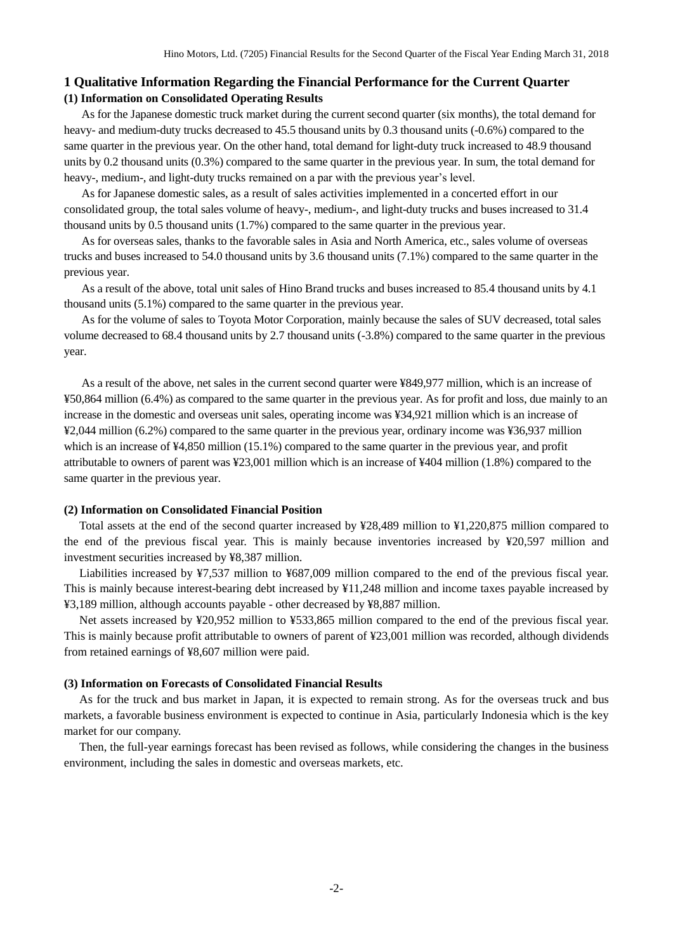#### <span id="page-3-1"></span><span id="page-3-0"></span>**1 Qualitative Information Regarding the Financial Performance for the Current Quarter (1) Information on Consolidated Operating Results**

As for the Japanese domestic truck market during the current second quarter (six months), the total demand for heavy- and medium-duty trucks decreased to 45.5 thousand units by 0.3 thousand units (-0.6%) compared to the same quarter in the previous year. On the other hand, total demand for light-duty truck increased to 48.9 thousand units by 0.2 thousand units (0.3%) compared to the same quarter in the previous year. In sum, the total demand for heavy-, medium-, and light-duty trucks remained on a par with the previous year's level.

As for Japanese domestic sales, as a result of sales activities implemented in a concerted effort in our consolidated group, the total sales volume of heavy-, medium-, and light-duty trucks and buses increased to 31.4 thousand units by 0.5 thousand units (1.7%) compared to the same quarter in the previous year.

As for overseas sales, thanks to the favorable sales in Asia and North America, etc., sales volume of overseas trucks and buses increased to 54.0 thousand units by 3.6 thousand units (7.1%) compared to the same quarter in the previous year.

As a result of the above, total unit sales of Hino Brand trucks and buses increased to 85.4 thousand units by 4.1 thousand units (5.1%) compared to the same quarter in the previous year.

As for the volume of sales to Toyota Motor Corporation, mainly because the sales of SUV decreased, total sales volume decreased to 68.4 thousand units by 2.7 thousand units (-3.8%) compared to the same quarter in the previous year.

As a result of the above, net sales in the current second quarter were ¥849,977 million, which is an increase of ¥50,864 million (6.4%) as compared to the same quarter in the previous year. As for profit and loss, due mainly to an increase in the domestic and overseas unit sales, operating income was ¥34,921 million which is an increase of ¥2,044 million (6.2%) compared to the same quarter in the previous year, ordinary income was ¥36,937 million which is an increase of  $\frac{44,850 \text{ million}}{15.1\%}$  compared to the same quarter in the previous year, and profit attributable to owners of parent was ¥23,001 million which is an increase of ¥404 million (1.8%) compared to the same quarter in the previous year.

#### <span id="page-3-2"></span>**(2) Information on Consolidated Financial Position**

Total assets at the end of the second quarter increased by ¥28,489 million to ¥1,220,875 million compared to the end of the previous fiscal year. This is mainly because inventories increased by ¥20,597 million and investment securities increased by ¥8,387 million.

Liabilities increased by ¥7,537 million to ¥687,009 million compared to the end of the previous fiscal year. This is mainly because interest-bearing debt increased by ¥11,248 million and income taxes payable increased by ¥3,189 million, although accounts payable - other decreased by ¥8,887 million.

Net assets increased by ¥20,952 million to ¥533,865 million compared to the end of the previous fiscal year. This is mainly because profit attributable to owners of parent of ¥23,001 million was recorded, although dividends from retained earnings of ¥8,607 million were paid.

#### <span id="page-3-3"></span>**(3) Information on Forecasts of Consolidated Financial Results**

As for the truck and bus market in Japan, it is expected to remain strong. As for the overseas truck and bus markets, a favorable business environment is expected to continue in Asia, particularly Indonesia which is the key market for our company.

Then, the full-year earnings forecast has been revised as follows, while considering the changes in the business environment, including the sales in domestic and overseas markets, etc.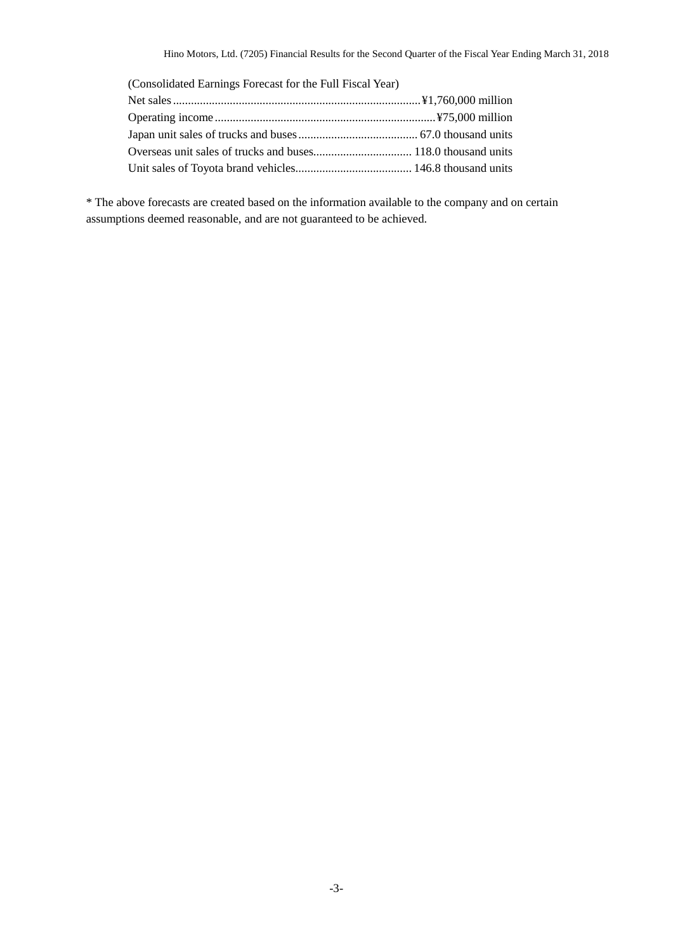| (Consolidated Earnings Forecast for the Full Fiscal Year) |  |
|-----------------------------------------------------------|--|
|                                                           |  |
|                                                           |  |
|                                                           |  |
|                                                           |  |
|                                                           |  |

\* The above forecasts are created based on the information available to the company and on certain assumptions deemed reasonable, and are not guaranteed to be achieved.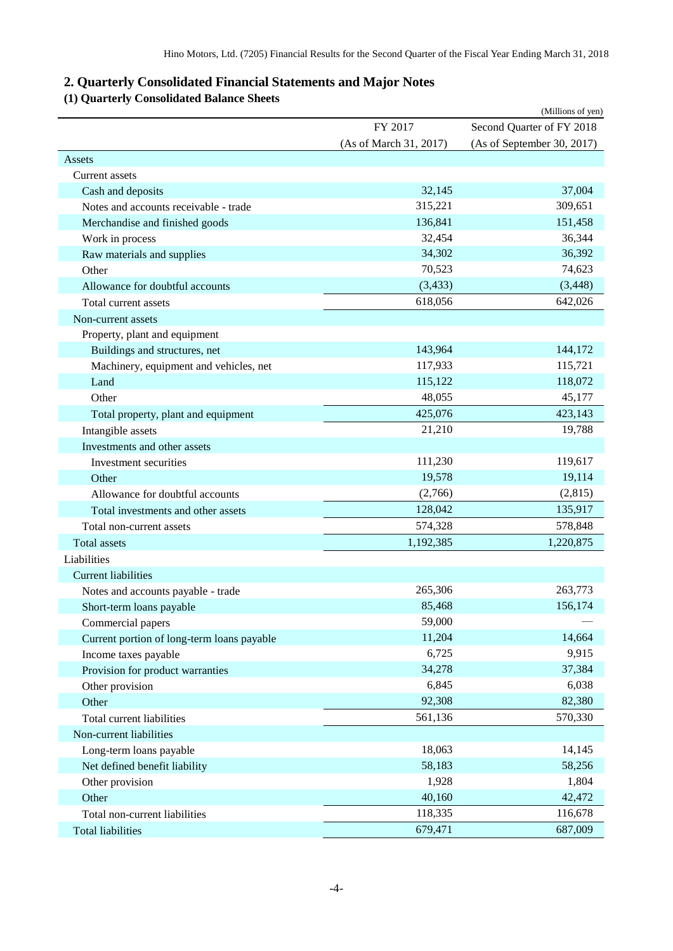# <span id="page-5-0"></span>**2. Quarterly Consolidated Financial Statements and Major Notes**

# <span id="page-5-1"></span>**(1) Quarterly Consolidated Balance Sheets**

|                                            |                        | (Millions of yen)          |
|--------------------------------------------|------------------------|----------------------------|
|                                            | FY 2017                | Second Quarter of FY 2018  |
|                                            | (As of March 31, 2017) | (As of September 30, 2017) |
| Assets                                     |                        |                            |
| <b>Current assets</b>                      |                        |                            |
| Cash and deposits                          | 32,145                 | 37,004                     |
| Notes and accounts receivable - trade      | 315,221                | 309,651                    |
| Merchandise and finished goods             | 136,841                | 151,458                    |
| Work in process                            | 32,454                 | 36,344                     |
| Raw materials and supplies                 | 34,302                 | 36,392                     |
| Other                                      | 70,523                 | 74,623                     |
| Allowance for doubtful accounts            | (3, 433)               | (3, 448)                   |
| Total current assets                       | 618,056                | 642,026                    |
| Non-current assets                         |                        |                            |
| Property, plant and equipment              |                        |                            |
| Buildings and structures, net              | 143,964                | 144,172                    |
| Machinery, equipment and vehicles, net     | 117,933                | 115,721                    |
| Land                                       | 115,122                | 118,072                    |
| Other                                      | 48,055                 | 45,177                     |
| Total property, plant and equipment        | 425,076                | 423,143                    |
| Intangible assets                          | 21,210                 | 19,788                     |
| Investments and other assets               |                        |                            |
| Investment securities                      | 111,230                | 119,617                    |
| Other                                      | 19,578                 | 19,114                     |
| Allowance for doubtful accounts            | (2,766)                | (2,815)                    |
| Total investments and other assets         | 128,042                | 135,917                    |
| Total non-current assets                   | 574,328                | 578,848                    |
| <b>Total</b> assets                        | 1,192,385              | 1,220,875                  |
| Liabilities                                |                        |                            |
| <b>Current liabilities</b>                 |                        |                            |
| Notes and accounts payable - trade         | 265,306                | 263,773                    |
| Short-term loans payable                   | 85,468                 | 156,174                    |
| Commercial papers                          | 59,000                 |                            |
| Current portion of long-term loans payable | 11,204                 | 14,664                     |
| Income taxes payable                       | 6,725                  | 9,915                      |
| Provision for product warranties           | 34,278                 | 37,384                     |
| Other provision                            | 6,845                  | 6,038                      |
| Other                                      | 92,308                 | 82,380                     |
| Total current liabilities                  | 561,136                | 570,330                    |
| Non-current liabilities                    |                        |                            |
|                                            | 18,063                 | 14,145                     |
| Long-term loans payable                    | 58,183                 | 58,256                     |
| Net defined benefit liability              |                        |                            |
| Other provision                            | 1,928                  | 1,804                      |
| Other                                      | 40,160                 | 42,472                     |
| Total non-current liabilities              | 118,335                | 116,678                    |
| <b>Total liabilities</b>                   | 679,471                | 687,009                    |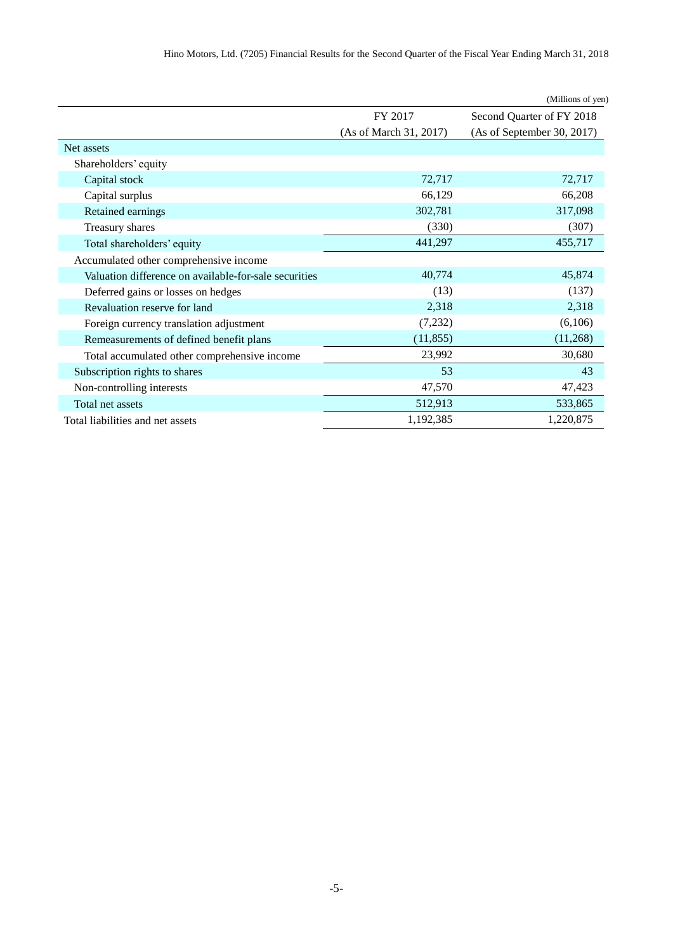| Hino Motors, Ltd. (7205) Financial Results for the Second Quarter of the Fiscal Year Ending March 31, 2018 |  |
|------------------------------------------------------------------------------------------------------------|--|
|------------------------------------------------------------------------------------------------------------|--|

|                                                       |                        | (Millions of yen)          |
|-------------------------------------------------------|------------------------|----------------------------|
|                                                       | FY 2017                | Second Quarter of FY 2018  |
|                                                       | (As of March 31, 2017) | (As of September 30, 2017) |
| Net assets                                            |                        |                            |
| Shareholders' equity                                  |                        |                            |
| Capital stock                                         | 72,717                 | 72,717                     |
| Capital surplus                                       | 66,129                 | 66,208                     |
| Retained earnings                                     | 302,781                | 317,098                    |
| Treasury shares                                       | (330)                  | (307)                      |
| Total shareholders' equity                            | 441,297                | 455,717                    |
| Accumulated other comprehensive income                |                        |                            |
| Valuation difference on available-for-sale securities | 40,774                 | 45,874                     |
| Deferred gains or losses on hedges                    | (13)                   | (137)                      |
| Revaluation reserve for land                          | 2,318                  | 2,318                      |
| Foreign currency translation adjustment               | (7,232)                | (6,106)                    |
| Remeasurements of defined benefit plans               | (11, 855)              | (11,268)                   |
| Total accumulated other comprehensive income          | 23,992                 | 30,680                     |
| Subscription rights to shares                         | 53                     | 43                         |
| Non-controlling interests                             | 47,570                 | 47,423                     |
| Total net assets                                      | 512,913                | 533,865                    |
| Total liabilities and net assets                      | 1,192,385              | 1,220,875                  |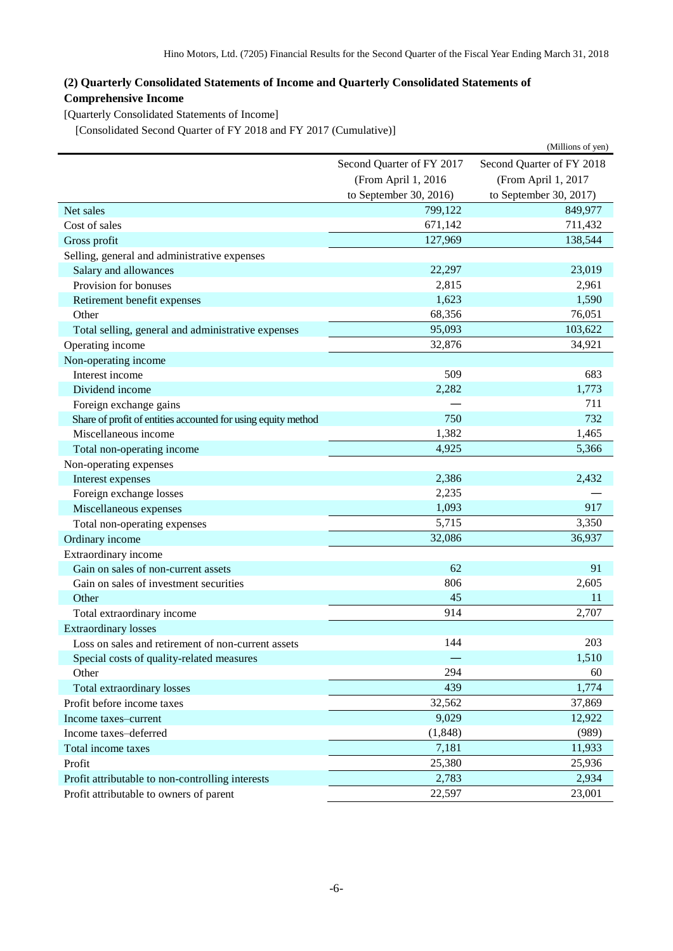## <span id="page-7-0"></span>**(2) Quarterly Consolidated Statements of Income and Quarterly Consolidated Statements of Comprehensive Income**

<span id="page-7-1"></span>[Quarterly Consolidated Statements of Income]

<span id="page-7-2"></span>[Consolidated Second Quarter of FY 2018 and FY 2017 (Cumulative)]

|                                                               |                           | (Millions of yen)         |  |
|---------------------------------------------------------------|---------------------------|---------------------------|--|
|                                                               | Second Quarter of FY 2017 | Second Quarter of FY 2018 |  |
|                                                               | (From April 1, 2016       | (From April 1, 2017       |  |
|                                                               | to September 30, 2016)    | to September 30, 2017)    |  |
| Net sales                                                     | 799,122                   | 849,977                   |  |
| Cost of sales                                                 | 671,142                   | 711,432                   |  |
| Gross profit                                                  | 127,969                   | 138,544                   |  |
| Selling, general and administrative expenses                  |                           |                           |  |
| Salary and allowances                                         | 22,297                    | 23,019                    |  |
| Provision for bonuses                                         | 2,815                     | 2,961                     |  |
| Retirement benefit expenses                                   | 1,623                     | 1,590                     |  |
| Other                                                         | 68,356                    | 76,051                    |  |
| Total selling, general and administrative expenses            | 95,093                    | 103,622                   |  |
| Operating income                                              | 32,876                    | 34,921                    |  |
| Non-operating income                                          |                           |                           |  |
| Interest income                                               | 509                       | 683                       |  |
| Dividend income                                               | 2,282                     | 1,773                     |  |
| Foreign exchange gains                                        |                           | 711                       |  |
| Share of profit of entities accounted for using equity method | 750                       | 732                       |  |
| Miscellaneous income                                          | 1,382                     | 1,465                     |  |
| Total non-operating income                                    | 4,925                     | 5,366                     |  |
| Non-operating expenses                                        |                           |                           |  |
| Interest expenses                                             | 2,386                     | 2,432                     |  |
| Foreign exchange losses                                       | 2,235                     |                           |  |
| Miscellaneous expenses                                        | 1,093                     | 917                       |  |
| Total non-operating expenses                                  | 5,715                     | 3,350                     |  |
| Ordinary income                                               | 32,086                    | 36,937                    |  |
| Extraordinary income                                          |                           |                           |  |
| Gain on sales of non-current assets                           | 62                        | 91                        |  |
| Gain on sales of investment securities                        | 806                       | 2,605                     |  |
| Other                                                         | 45                        | 11                        |  |
| Total extraordinary income                                    | 914                       | 2,707                     |  |
| <b>Extraordinary losses</b>                                   |                           |                           |  |
| Loss on sales and retirement of non-current assets            | 144                       | 203                       |  |
| Special costs of quality-related measures                     |                           | 1,510                     |  |
| Other                                                         | 294                       | 60                        |  |
| Total extraordinary losses                                    | 439                       | 1,774                     |  |
| Profit before income taxes                                    | 32,562                    | 37,869                    |  |
| Income taxes-current                                          | 9,029                     | 12,922                    |  |
| Income taxes-deferred                                         | (1, 848)                  | (989)                     |  |
| Total income taxes                                            | 7,181                     | 11,933                    |  |
| Profit                                                        | 25,380                    | 25,936                    |  |
| Profit attributable to non-controlling interests              | 2,783                     | 2,934                     |  |
| Profit attributable to owners of parent                       | 22,597                    | 23,001                    |  |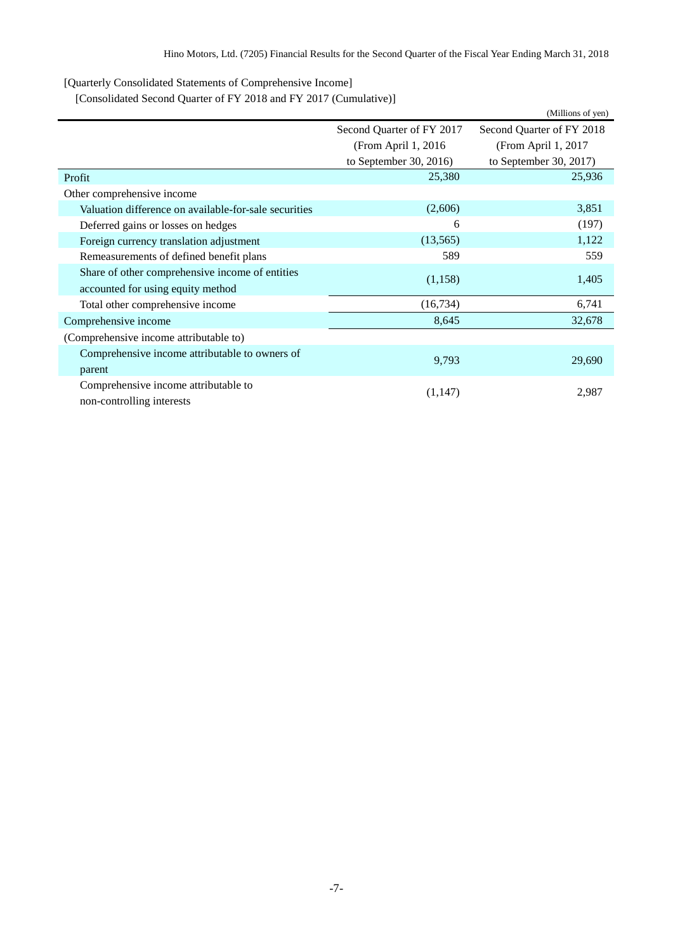<span id="page-8-0"></span>[Quarterly Consolidated Statements of Comprehensive Income]

<span id="page-8-1"></span>[Consolidated Second Quarter of FY 2018 and FY 2017 (Cumulative)]

|                                                       |                           | (Millions of yen)         |  |
|-------------------------------------------------------|---------------------------|---------------------------|--|
|                                                       | Second Quarter of FY 2017 | Second Quarter of FY 2018 |  |
|                                                       | (From April 1, 2016)      | (From April 1, 2017       |  |
|                                                       | to September 30, 2016)    | to September 30, 2017)    |  |
| Profit                                                | 25,380                    | 25,936                    |  |
| Other comprehensive income                            |                           |                           |  |
| Valuation difference on available-for-sale securities | (2,606)                   | 3,851                     |  |
| Deferred gains or losses on hedges                    | 6                         | (197)                     |  |
| Foreign currency translation adjustment               | (13,565)                  | 1,122                     |  |
| Remeasurements of defined benefit plans               | 589                       | 559                       |  |
| Share of other comprehensive income of entities       |                           | 1,405                     |  |
| accounted for using equity method                     | (1,158)                   |                           |  |
| Total other comprehensive income                      | (16,734)                  | 6,741                     |  |
| Comprehensive income                                  | 8,645                     | 32,678                    |  |
| (Comprehensive income attributable to)                |                           |                           |  |
| Comprehensive income attributable to owners of        |                           |                           |  |
| parent                                                | 9,793                     | 29,690                    |  |
| Comprehensive income attributable to                  |                           |                           |  |
| non-controlling interests                             | (1, 147)                  | 2,987                     |  |
|                                                       |                           |                           |  |